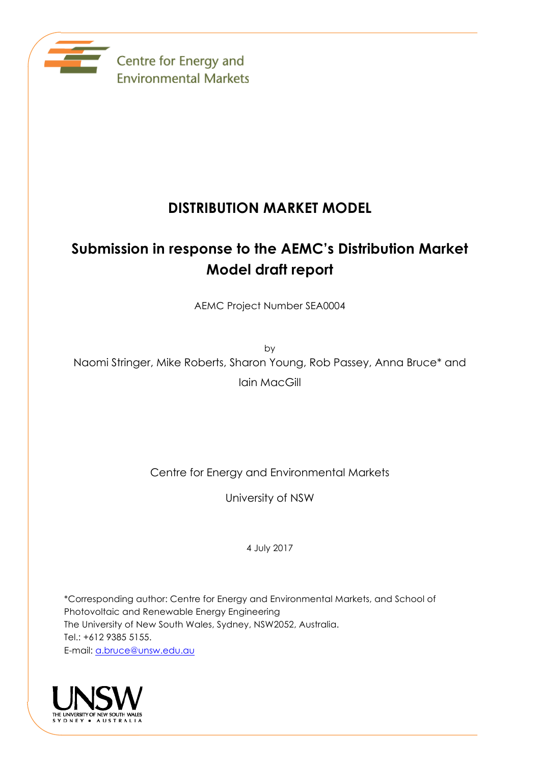

# **DISTRIBUTION MARKET MODEL**

# **Submission in response to the AEMC's Distribution Market Model draft report**

AEMC Project Number SEA0004

by

Naomi Stringer, Mike Roberts, Sharon Young, Rob Passey, Anna Bruce\* and Iain MacGill

Centre for Energy and Environmental Markets

University of NSW

4 July 2017

\*Corresponding author: Centre for Energy and Environmental Markets, and School of Photovoltaic and Renewable Energy Engineering The University of New South Wales, Sydney, NSW2052, Australia. Tel.: +612 9385 5155. E-mail: a.bruce@unsw.edu.au

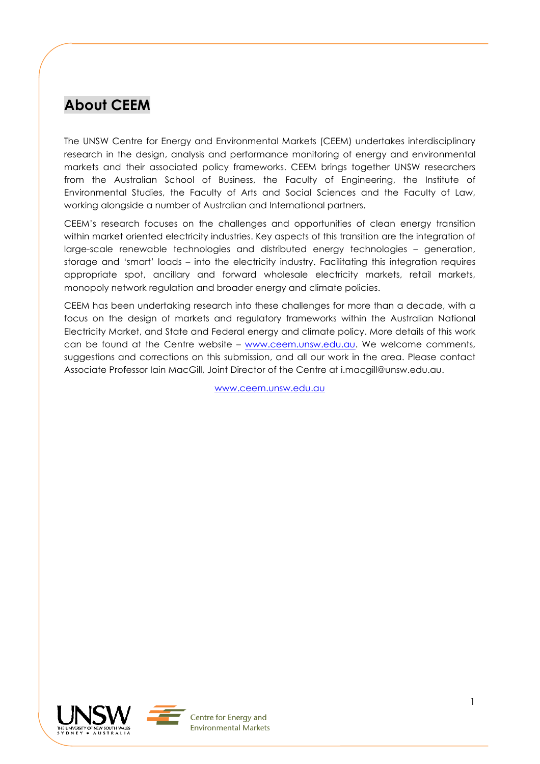# **About CEEM**

The UNSW Centre for Energy and Environmental Markets (CEEM) undertakes interdisciplinary research in the design, analysis and performance monitoring of energy and environmental markets and their associated policy frameworks. CEEM brings together UNSW researchers from the Australian School of Business, the Faculty of Engineering, the Institute of Environmental Studies, the Faculty of Arts and Social Sciences and the Faculty of Law, working alongside a number of Australian and International partners.

CEEM's research focuses on the challenges and opportunities of clean energy transition within market oriented electricity industries. Key aspects of this transition are the integration of large-scale renewable technologies and distributed energy technologies – generation, storage and 'smart' loads – into the electricity industry. Facilitating this integration requires appropriate spot, ancillary and forward wholesale electricity markets, retail markets, monopoly network regulation and broader energy and climate policies.

CEEM has been undertaking research into these challenges for more than a decade, with a focus on the design of markets and regulatory frameworks within the Australian National Electricity Market, and State and Federal energy and climate policy. More details of this work can be found at the Centre website – www.ceem.unsw.edu.au. We welcome comments, suggestions and corrections on this submission, and all our work in the area. Please contact Associate Professor Iain MacGill, Joint Director of the Centre at i.macgill@unsw.edu.au.

www.ceem.unsw.edu.au

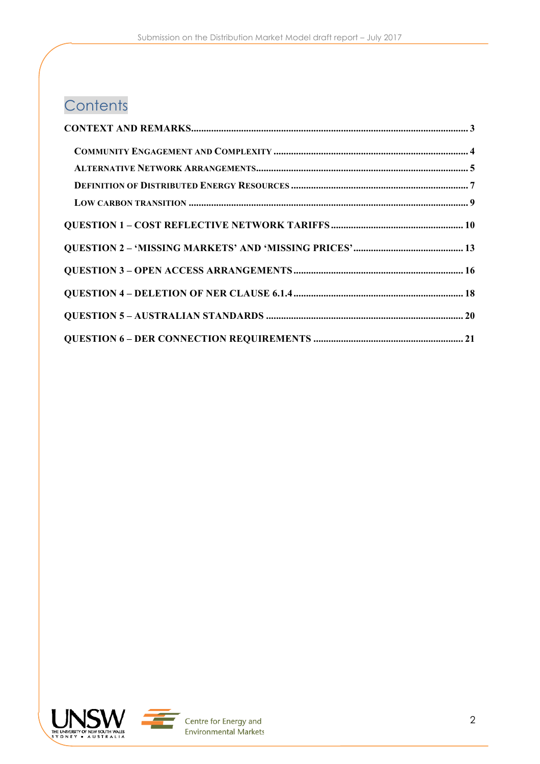# **Contents**



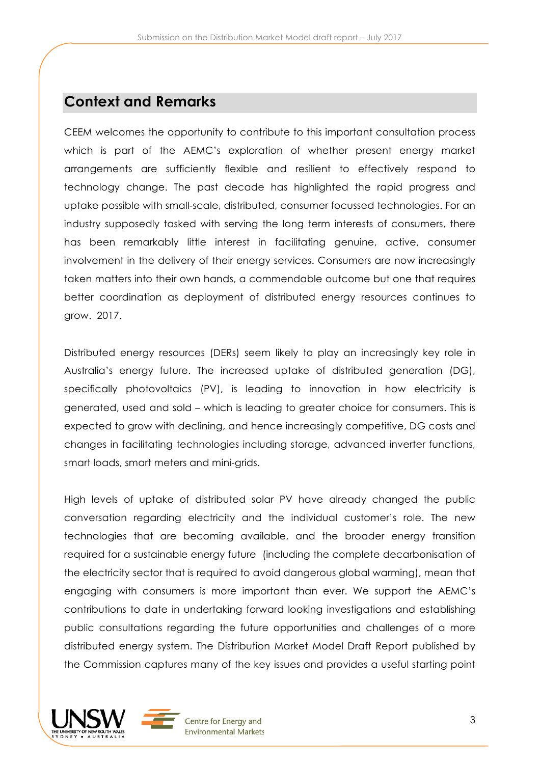# **Context and Remarks**

CEEM welcomes the opportunity to contribute to this important consultation process which is part of the AEMC's exploration of whether present energy market arrangements are sufficiently flexible and resilient to effectively respond to technology change. The past decade has highlighted the rapid progress and uptake possible with small-scale, distributed, consumer focussed technologies. For an industry supposedly tasked with serving the long term interests of consumers, there has been remarkably little interest in facilitating genuine, active, consumer involvement in the delivery of their energy services. Consumers are now increasingly taken matters into their own hands, a commendable outcome but one that requires better coordination as deployment of distributed energy resources continues to grow. 2017.

Distributed energy resources (DERs) seem likely to play an increasingly key role in Australia's energy future. The increased uptake of distributed generation (DG), specifically photovoltaics (PV), is leading to innovation in how electricity is generated, used and sold – which is leading to greater choice for consumers. This is expected to grow with declining, and hence increasingly competitive, DG costs and changes in facilitating technologies including storage, advanced inverter functions, smart loads, smart meters and mini-grids.

High levels of uptake of distributed solar PV have already changed the public conversation regarding electricity and the individual customer's role. The new technologies that are becoming available, and the broader energy transition required for a sustainable energy future (including the complete decarbonisation of the electricity sector that is required to avoid dangerous global warming), mean that engaging with consumers is more important than ever. We support the AEMC's contributions to date in undertaking forward looking investigations and establishing public consultations regarding the future opportunities and challenges of a more distributed energy system. The Distribution Market Model Draft Report published by the Commission captures many of the key issues and provides a useful starting point



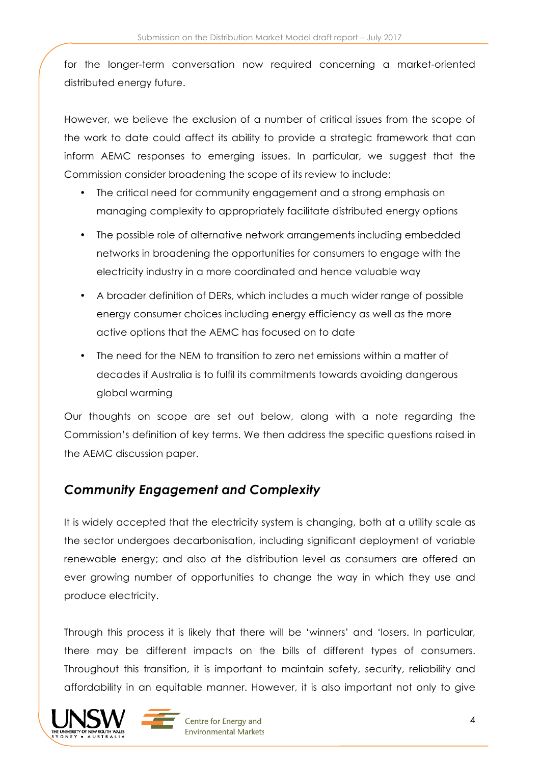for the longer-term conversation now required concerning a market-oriented distributed energy future.

However, we believe the exclusion of a number of critical issues from the scope of the work to date could affect its ability to provide a strategic framework that can inform AEMC responses to emerging issues. In particular, we suggest that the Commission consider broadening the scope of its review to include:

- The critical need for community engagement and a strong emphasis on managing complexity to appropriately facilitate distributed energy options
- The possible role of alternative network arrangements including embedded networks in broadening the opportunities for consumers to engage with the electricity industry in a more coordinated and hence valuable way
- A broader definition of DERs, which includes a much wider range of possible energy consumer choices including energy efficiency as well as the more active options that the AEMC has focused on to date
- The need for the NEM to transition to zero net emissions within a matter of decades if Australia is to fulfil its commitments towards avoiding dangerous global warming

Our thoughts on scope are set out below, along with a note regarding the Commission's definition of key terms. We then address the specific questions raised in the AEMC discussion paper.

### *Community Engagement and Complexity*

It is widely accepted that the electricity system is changing, both at a utility scale as the sector undergoes decarbonisation, including significant deployment of variable renewable energy; and also at the distribution level as consumers are offered an ever growing number of opportunities to change the way in which they use and produce electricity.

Through this process it is likely that there will be 'winners' and 'losers. In particular, there may be different impacts on the bills of different types of consumers. Throughout this transition, it is important to maintain safety, security, reliability and affordability in an equitable manner. However, it is also important not only to give



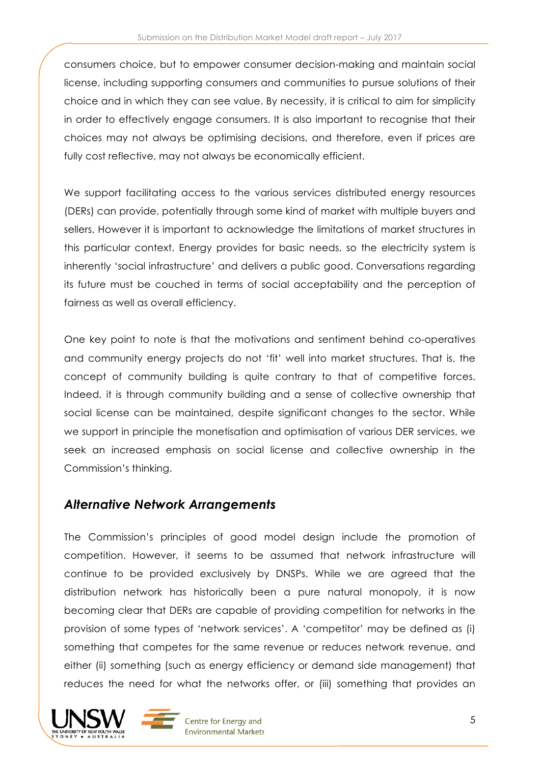consumers choice, but to empower consumer decision-making and maintain social license, including supporting consumers and communities to pursue solutions of their choice and in which they can see value. By necessity, it is critical to aim for simplicity in order to effectively engage consumers. It is also important to recognise that their choices may not always be optimising decisions, and therefore, even if prices are fully cost reflective, may not always be economically efficient.

We support facilitating access to the various services distributed energy resources (DERs) can provide, potentially through some kind of market with multiple buyers and sellers. However it is important to acknowledge the limitations of market structures in this particular context. Energy provides for basic needs, so the electricity system is inherently 'social infrastructure' and delivers a public good. Conversations regarding its future must be couched in terms of social acceptability and the perception of fairness as well as overall efficiency.

One key point to note is that the motivations and sentiment behind co-operatives and community energy projects do not 'fit' well into market structures. That is, the concept of community building is quite contrary to that of competitive forces. Indeed, it is through community building and a sense of collective ownership that social license can be maintained, despite significant changes to the sector. While we support in principle the monetisation and optimisation of various DER services, we seek an increased emphasis on social license and collective ownership in the Commission's thinking.

### *Alternative Network Arrangements*

The Commission's principles of good model design include the promotion of competition. However, it seems to be assumed that network infrastructure will continue to be provided exclusively by DNSPs. While we are agreed that the distribution network has historically been a pure natural monopoly, it is now becoming clear that DERs are capable of providing competition for networks in the provision of some types of 'network services'. A 'competitor' may be defined as (i) something that competes for the same revenue or reduces network revenue, and either (ii) something (such as energy efficiency or demand side management) that reduces the need for what the networks offer, or (iii) something that provides an



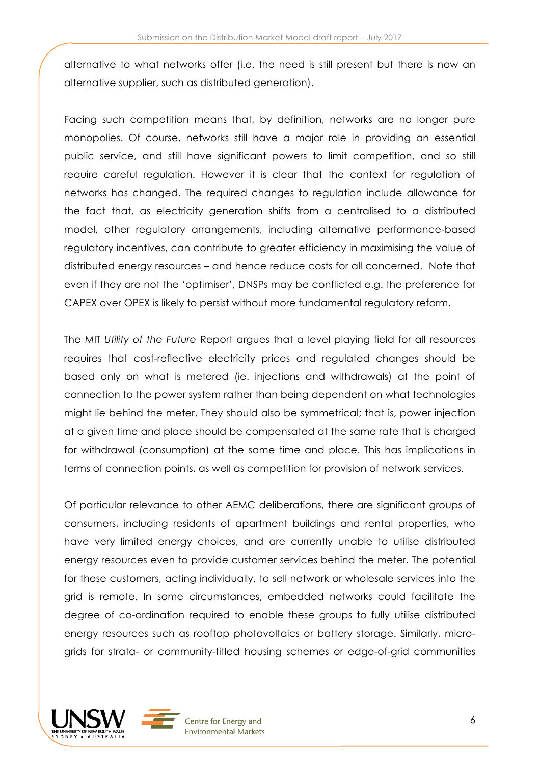alternative to what networks offer (i.e. the need is still present but there is now an alternative supplier, such as distributed generation).

Facing such competition means that, by definition, networks are no longer pure monopolies. Of course, networks still have a major role in providing an essential public service, and still have significant powers to limit competition, and so still require careful regulation. However it is clear that the context for regulation of networks has changed. The required changes to regulation include allowance for the fact that, as electricity generation shifts from a centralised to a distributed model, other regulatory arrangements, including alternative performance-based regulatory incentives, can contribute to greater efficiency in maximising the value of distributed energy resources – and hence reduce costs for all concerned. Note that even if they are not the 'optimiser', DNSPs may be conflicted e.g. the preference for CAPEX over OPEX is likely to persist without more fundamental regulatory reform.

The MIT *Utility of the Future* Report argues that a level playing field for all resources requires that cost-reflective electricity prices and regulated changes should be based only on what is metered (ie. injections and withdrawals) at the point of connection to the power system rather than being dependent on what technologies might lie behind the meter. They should also be symmetrical; that is, power injection at a given time and place should be compensated at the same rate that is charged for withdrawal (consumption) at the same time and place. This has implications in terms of connection points, as well as competition for provision of network services.

Of particular relevance to other AEMC deliberations, there are significant groups of consumers, including residents of apartment buildings and rental properties, who have very limited energy choices, and are currently unable to utilise distributed energy resources even to provide customer services behind the meter. The potential for these customers, acting individually, to sell network or wholesale services into the grid is remote. In some circumstances, embedded networks could facilitate the degree of co-ordination required to enable these groups to fully utilise distributed energy resources such as rooftop photovoltaics or battery storage. Similarly, microgrids for strata- or community-titled housing schemes or edge-of-grid communities



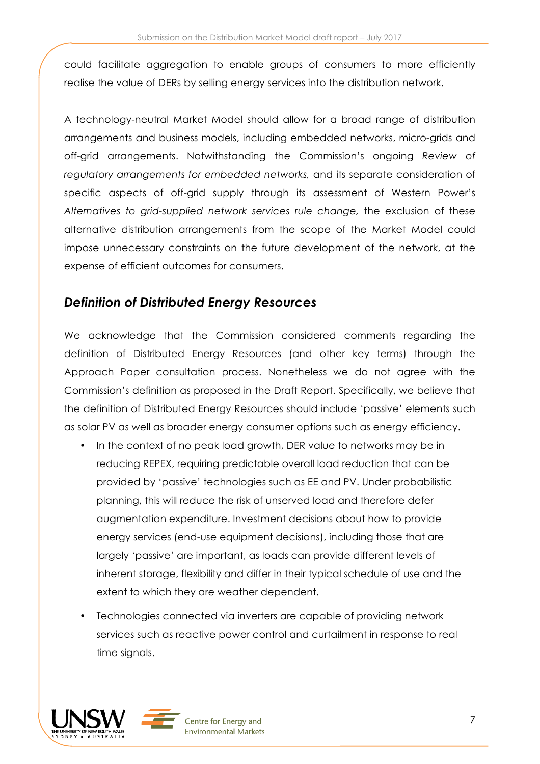could facilitate aggregation to enable groups of consumers to more efficiently realise the value of DERs by selling energy services into the distribution network.

A technology-neutral Market Model should allow for a broad range of distribution arrangements and business models, including embedded networks, micro-grids and off-grid arrangements. Notwithstanding the Commission's ongoing *Review of regulatory arrangements for embedded networks,* and its separate consideration of specific aspects of off-grid supply through its assessment of Western Power's *Alternatives to grid-supplied network services rule change,* the exclusion of these alternative distribution arrangements from the scope of the Market Model could impose unnecessary constraints on the future development of the network, at the expense of efficient outcomes for consumers.

### *Definition of Distributed Energy Resources*

We acknowledge that the Commission considered comments regarding the definition of Distributed Energy Resources (and other key terms) through the Approach Paper consultation process. Nonetheless we do not agree with the Commission's definition as proposed in the Draft Report. Specifically, we believe that the definition of Distributed Energy Resources should include 'passive' elements such as solar PV as well as broader energy consumer options such as energy efficiency.

- In the context of no peak load growth, DER value to networks may be in reducing REPEX, requiring predictable overall load reduction that can be provided by 'passive' technologies such as EE and PV. Under probabilistic planning, this will reduce the risk of unserved load and therefore defer augmentation expenditure. Investment decisions about how to provide energy services (end-use equipment decisions), including those that are largely 'passive' are important, as loads can provide different levels of inherent storage, flexibility and differ in their typical schedule of use and the extent to which they are weather dependent.
- Technologies connected via inverters are capable of providing network services such as reactive power control and curtailment in response to real time signals.

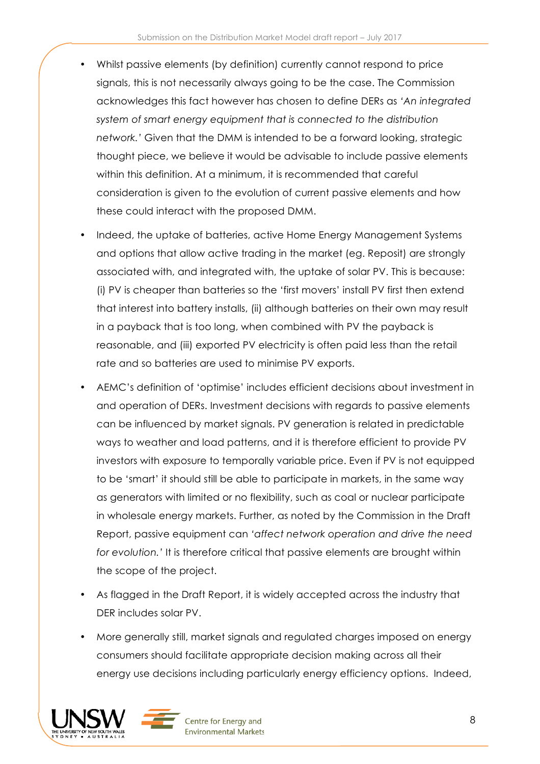- Whilst passive elements (by definition) currently cannot respond to price signals, this is not necessarily always going to be the case. The Commission acknowledges this fact however has chosen to define DERs as *'An integrated system of smart energy equipment that is connected to the distribution network.'* Given that the DMM is intended to be a forward looking, strategic thought piece, we believe it would be advisable to include passive elements within this definition. At a minimum, it is recommended that careful consideration is given to the evolution of current passive elements and how these could interact with the proposed DMM.
- Indeed, the uptake of batteries, active Home Energy Management Systems and options that allow active trading in the market (eg. Reposit) are strongly associated with, and integrated with, the uptake of solar PV. This is because: (i) PV is cheaper than batteries so the 'first movers' install PV first then extend that interest into battery installs, (ii) although batteries on their own may result in a payback that is too long, when combined with PV the payback is reasonable, and (iii) exported PV electricity is often paid less than the retail rate and so batteries are used to minimise PV exports.
- AEMC's definition of 'optimise' includes efficient decisions about investment in and operation of DERs. Investment decisions with regards to passive elements can be influenced by market signals. PV generation is related in predictable ways to weather and load patterns, and it is therefore efficient to provide PV investors with exposure to temporally variable price. Even if PV is not equipped to be 'smart' it should still be able to participate in markets, in the same way as generators with limited or no flexibility, such as coal or nuclear participate in wholesale energy markets. Further, as noted by the Commission in the Draft Report, passive equipment can *'affect network operation and drive the need for evolution.'* It is therefore critical that passive elements are brought within the scope of the project.
- As flagged in the Draft Report, it is widely accepted across the industry that DER includes solar PV.
- More generally still, market signals and regulated charges imposed on energy consumers should facilitate appropriate decision making across all their energy use decisions including particularly energy efficiency options. Indeed,



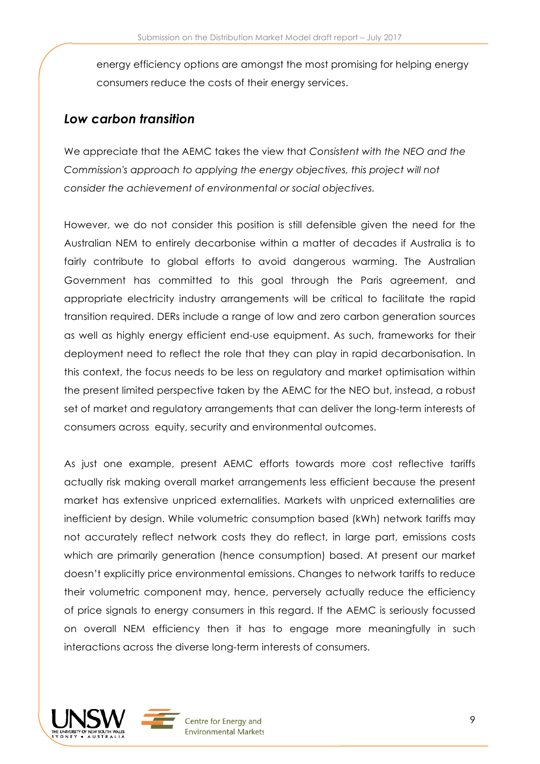energy efficiency options are amongst the most promising for helping energy consumers reduce the costs of their energy services.

#### *Low carbon transition*

We appreciate that the AEMC takes the view that *Consistent with the NEO and the Commission's approach to applying the energy objectives, this project will not consider the achievement of environmental or social objectives.*

However, we do not consider this position is still defensible given the need for the Australian NEM to entirely decarbonise within a matter of decades if Australia is to fairly contribute to global efforts to avoid dangerous warming. The Australian Government has committed to this goal through the Paris agreement, and appropriate electricity industry arrangements will be critical to facilitate the rapid transition required. DERs include a range of low and zero carbon generation sources as well as highly energy efficient end-use equipment. As such, frameworks for their deployment need to reflect the role that they can play in rapid decarbonisation. In this context, the focus needs to be less on regulatory and market optimisation within the present limited perspective taken by the AEMC for the NEO but, instead, a robust set of market and regulatory arrangements that can deliver the long-term interests of consumers across equity, security and environmental outcomes.

As just one example, present AEMC efforts towards more cost reflective tariffs actually risk making overall market arrangements less efficient because the present market has extensive unpriced externalities. Markets with unpriced externalities are inefficient by design. While volumetric consumption based (kWh) network tariffs may not accurately reflect network costs they do reflect, in large part, emissions costs which are primarily generation (hence consumption) based. At present our market doesn't explicitly price environmental emissions. Changes to network tariffs to reduce their volumetric component may, hence, perversely actually reduce the efficiency of price signals to energy consumers in this regard. If the AEMC is seriously focussed on overall NEM efficiency then it has to engage more meaningfully in such interactions across the diverse long-term interests of consumers.



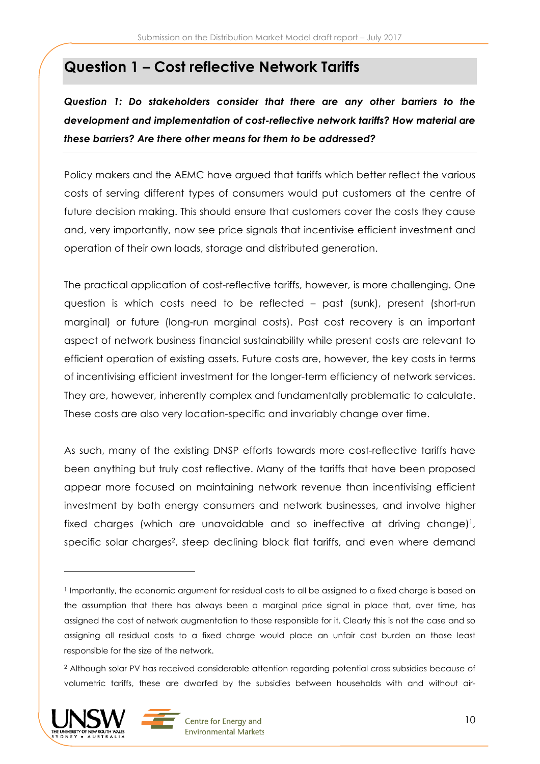## **Question 1 – Cost reflective Network Tariffs**

*Question 1: Do stakeholders consider that there are any other barriers to the development and implementation of cost-reflective network tariffs? How material are these barriers? Are there other means for them to be addressed?*

Policy makers and the AEMC have argued that tariffs which better reflect the various costs of serving different types of consumers would put customers at the centre of future decision making. This should ensure that customers cover the costs they cause and, very importantly, now see price signals that incentivise efficient investment and operation of their own loads, storage and distributed generation.

The practical application of cost-reflective tariffs, however, is more challenging. One question is which costs need to be reflected – past (sunk), present (short-run marginal) or future (long-run marginal costs). Past cost recovery is an important aspect of network business financial sustainability while present costs are relevant to efficient operation of existing assets. Future costs are, however, the key costs in terms of incentivising efficient investment for the longer-term efficiency of network services. They are, however, inherently complex and fundamentally problematic to calculate. These costs are also very location-specific and invariably change over time.

As such, many of the existing DNSP efforts towards more cost-reflective tariffs have been anything but truly cost reflective. Many of the tariffs that have been proposed appear more focused on maintaining network revenue than incentivising efficient investment by both energy consumers and network businesses, and involve higher fixed charges (which are unavoidable and so ineffective at driving change)<sup>1</sup>, specific solar charges2, steep declining block flat tariffs, and even where demand

<sup>2</sup> Although solar PV has received considerable attention regarding potential cross subsidies because of volumetric tariffs, these are dwarfed by the subsidies between households with and without air-





<sup>1</sup> Importantly, the economic argument for residual costs to all be assigned to a fixed charge is based on the assumption that there has always been a marginal price signal in place that, over time, has assigned the cost of network augmentation to those responsible for it. Clearly this is not the case and so assigning all residual costs to a fixed charge would place an unfair cost burden on those least responsible for the size of the network.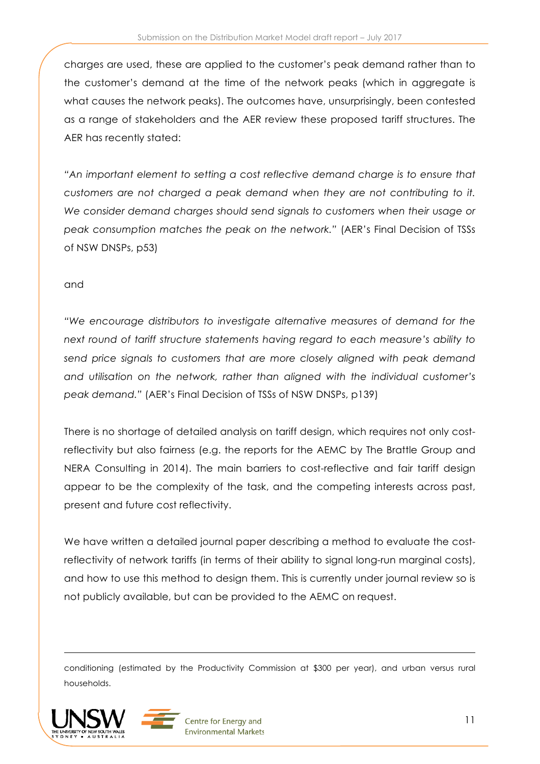charges are used, these are applied to the customer's peak demand rather than to the customer's demand at the time of the network peaks (which in aggregate is what causes the network peaks). The outcomes have, unsurprisingly, been contested as a range of stakeholders and the AER review these proposed tariff structures. The AER has recently stated:

*"An important element to setting a cost reflective demand charge is to ensure that customers are not charged a peak demand when they are not contributing to it. We consider demand charges should send signals to customers when their usage or peak consumption matches the peak on the network."* (AER's Final Decision of TSSs of NSW DNSPs, p53)

and

*"We encourage distributors to investigate alternative measures of demand for the next round of tariff structure statements having regard to each measure's ability to send price signals to customers that are more closely aligned with peak demand and utilisation on the network, rather than aligned with the individual customer's peak demand."* (AER's Final Decision of TSSs of NSW DNSPs, p139)

There is no shortage of detailed analysis on tariff design, which requires not only costreflectivity but also fairness (e.g. the reports for the AEMC by The Brattle Group and NERA Consulting in 2014). The main barriers to cost-reflective and fair tariff design appear to be the complexity of the task, and the competing interests across past, present and future cost reflectivity.

We have written a detailed journal paper describing a method to evaluate the costreflectivity of network tariffs (in terms of their ability to signal long-run marginal costs), and how to use this method to design them. This is currently under journal review so is not publicly available, but can be provided to the AEMC on request.

conditioning (estimated by the Productivity Commission at \$300 per year), and urban versus rural households.



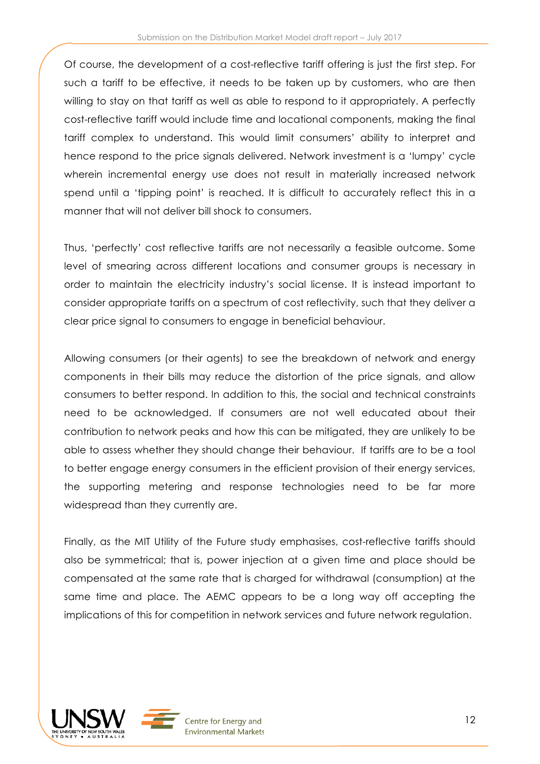Of course, the development of a cost-reflective tariff offering is just the first step. For such a tariff to be effective, it needs to be taken up by customers, who are then willing to stay on that tariff as well as able to respond to it appropriately. A perfectly cost-reflective tariff would include time and locational components, making the final tariff complex to understand. This would limit consumers' ability to interpret and hence respond to the price signals delivered. Network investment is a 'lumpy' cycle wherein incremental energy use does not result in materially increased network spend until a 'tipping point' is reached. It is difficult to accurately reflect this in a manner that will not deliver bill shock to consumers.

Thus, 'perfectly' cost reflective tariffs are not necessarily a feasible outcome. Some level of smearing across different locations and consumer groups is necessary in order to maintain the electricity industry's social license. It is instead important to consider appropriate tariffs on a spectrum of cost reflectivity, such that they deliver a clear price signal to consumers to engage in beneficial behaviour.

Allowing consumers (or their agents) to see the breakdown of network and energy components in their bills may reduce the distortion of the price signals, and allow consumers to better respond. In addition to this, the social and technical constraints need to be acknowledged. If consumers are not well educated about their contribution to network peaks and how this can be mitigated, they are unlikely to be able to assess whether they should change their behaviour. If tariffs are to be a tool to better engage energy consumers in the efficient provision of their energy services, the supporting metering and response technologies need to be far more widespread than they currently are.

Finally, as the MIT Utility of the Future study emphasises, cost-reflective tariffs should also be symmetrical; that is, power injection at a given time and place should be compensated at the same rate that is charged for withdrawal (consumption) at the same time and place. The AEMC appears to be a long way off accepting the implications of this for competition in network services and future network regulation.



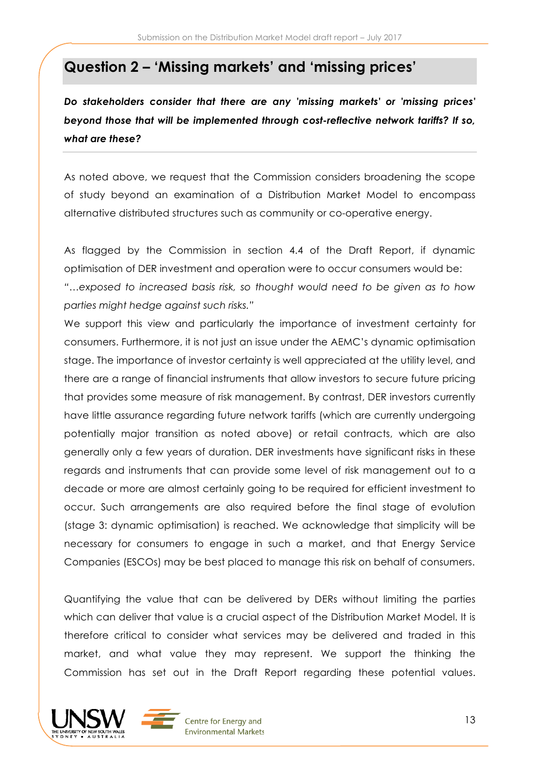## **Question 2 – 'Missing markets' and 'missing prices'**

*Do stakeholders consider that there are any 'missing markets' or 'missing prices' beyond those that will be implemented through cost-reflective network tariffs? If so, what are these?*

As noted above, we request that the Commission considers broadening the scope of study beyond an examination of a Distribution Market Model to encompass alternative distributed structures such as community or co-operative energy.

As flagged by the Commission in section 4.4 of the Draft Report, if dynamic optimisation of DER investment and operation were to occur consumers would be: *"…exposed to increased basis risk, so thought would need to be given as to how parties might hedge against such risks."*

We support this view and particularly the importance of investment certainty for consumers. Furthermore, it is not just an issue under the AEMC's dynamic optimisation stage. The importance of investor certainty is well appreciated at the utility level, and there are a range of financial instruments that allow investors to secure future pricing that provides some measure of risk management. By contrast, DER investors currently have little assurance regarding future network tariffs (which are currently undergoing potentially major transition as noted above) or retail contracts, which are also generally only a few years of duration. DER investments have significant risks in these regards and instruments that can provide some level of risk management out to a decade or more are almost certainly going to be required for efficient investment to occur. Such arrangements are also required before the final stage of evolution (stage 3: dynamic optimisation) is reached. We acknowledge that simplicity will be necessary for consumers to engage in such a market, and that Energy Service Companies (ESCOs) may be best placed to manage this risk on behalf of consumers.

Quantifying the value that can be delivered by DERs without limiting the parties which can deliver that value is a crucial aspect of the Distribution Market Model. It is therefore critical to consider what services may be delivered and traded in this market, and what value they may represent. We support the thinking the Commission has set out in the Draft Report regarding these potential values.



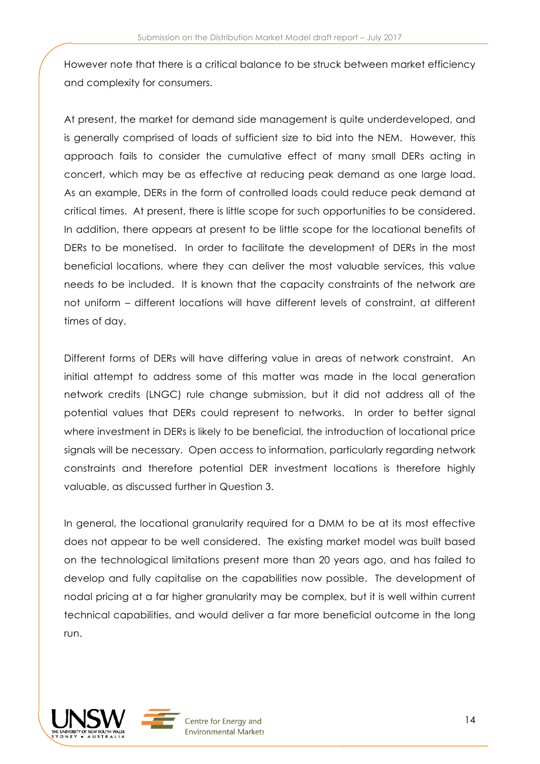However note that there is a critical balance to be struck between market efficiency and complexity for consumers.

At present, the market for demand side management is quite underdeveloped, and is generally comprised of loads of sufficient size to bid into the NEM. However, this approach fails to consider the cumulative effect of many small DERs acting in concert, which may be as effective at reducing peak demand as one large load. As an example, DERs in the form of controlled loads could reduce peak demand at critical times. At present, there is little scope for such opportunities to be considered. In addition, there appears at present to be little scope for the locational benefits of DERs to be monetised. In order to facilitate the development of DERs in the most beneficial locations, where they can deliver the most valuable services, this value needs to be included. It is known that the capacity constraints of the network are not uniform – different locations will have different levels of constraint, at different times of day.

Different forms of DERs will have differing value in areas of network constraint. An initial attempt to address some of this matter was made in the local generation network credits (LNGC) rule change submission, but it did not address all of the potential values that DERs could represent to networks. In order to better signal where investment in DERs is likely to be beneficial, the introduction of locational price signals will be necessary. Open access to information, particularly regarding network constraints and therefore potential DER investment locations is therefore highly valuable, as discussed further in Question 3.

In general, the locational granularity required for a DMM to be at its most effective does not appear to be well considered. The existing market model was built based on the technological limitations present more than 20 years ago, and has failed to develop and fully capitalise on the capabilities now possible. The development of nodal pricing at a far higher granularity may be complex, but it is well within current technical capabilities, and would deliver a far more beneficial outcome in the long run.



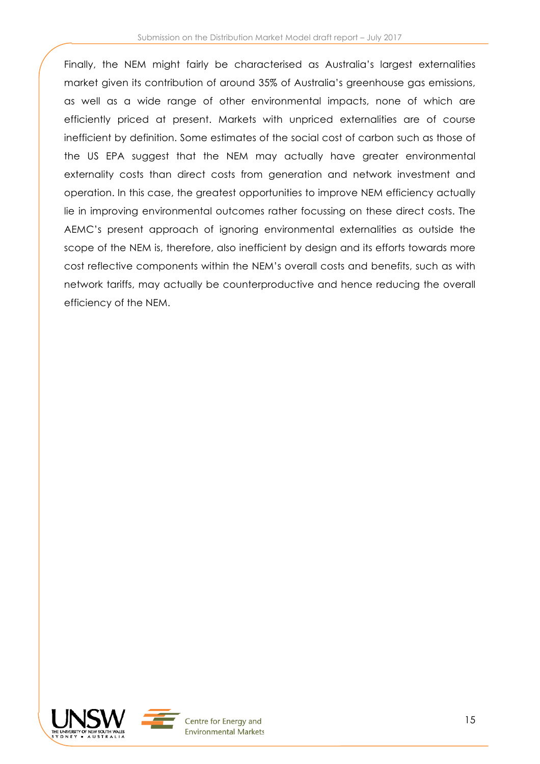Finally, the NEM might fairly be characterised as Australia's largest externalities market given its contribution of around 35% of Australia's greenhouse gas emissions, as well as a wide range of other environmental impacts, none of which are efficiently priced at present. Markets with unpriced externalities are of course inefficient by definition. Some estimates of the social cost of carbon such as those of the US EPA suggest that the NEM may actually have greater environmental externality costs than direct costs from generation and network investment and operation. In this case, the greatest opportunities to improve NEM efficiency actually lie in improving environmental outcomes rather focussing on these direct costs. The AEMC's present approach of ignoring environmental externalities as outside the scope of the NEM is, therefore, also inefficient by design and its efforts towards more cost reflective components within the NEM's overall costs and benefits, such as with network tariffs, may actually be counterproductive and hence reducing the overall efficiency of the NEM.



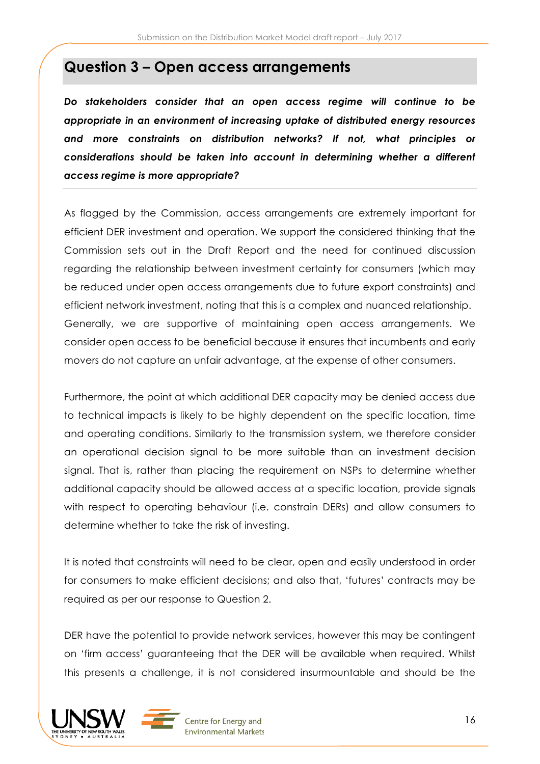### **Question 3 – Open access arrangements**

*Do stakeholders consider that an open access regime will continue to be appropriate in an environment of increasing uptake of distributed energy resources and more constraints on distribution networks? If not, what principles or considerations should be taken into account in determining whether a different access regime is more appropriate?*

As flagged by the Commission, access arrangements are extremely important for efficient DER investment and operation. We support the considered thinking that the Commission sets out in the Draft Report and the need for continued discussion regarding the relationship between investment certainty for consumers (which may be reduced under open access arrangements due to future export constraints) and efficient network investment, noting that this is a complex and nuanced relationship. Generally, we are supportive of maintaining open access arrangements. We consider open access to be beneficial because it ensures that incumbents and early movers do not capture an unfair advantage, at the expense of other consumers.

Furthermore, the point at which additional DER capacity may be denied access due to technical impacts is likely to be highly dependent on the specific location, time and operating conditions. Similarly to the transmission system, we therefore consider an operational decision signal to be more suitable than an investment decision signal. That is, rather than placing the requirement on NSPs to determine whether additional capacity should be allowed access at a specific location, provide signals with respect to operating behaviour (i.e. constrain DERs) and allow consumers to determine whether to take the risk of investing.

It is noted that constraints will need to be clear, open and easily understood in order for consumers to make efficient decisions; and also that, 'futures' contracts may be required as per our response to Question 2.

DER have the potential to provide network services, however this may be contingent on 'firm access' guaranteeing that the DER will be available when required. Whilst this presents a challenge, it is not considered insurmountable and should be the



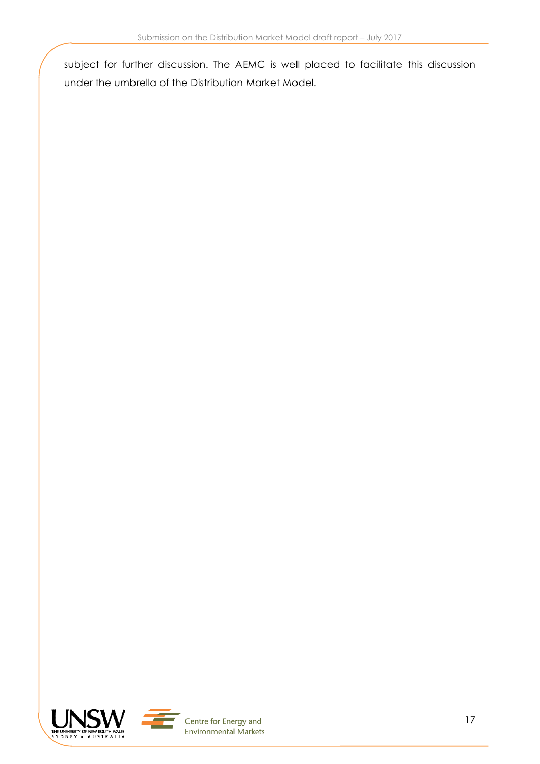subject for further discussion. The AEMC is well placed to facilitate this discussion under the umbrella of the Distribution Market Model.



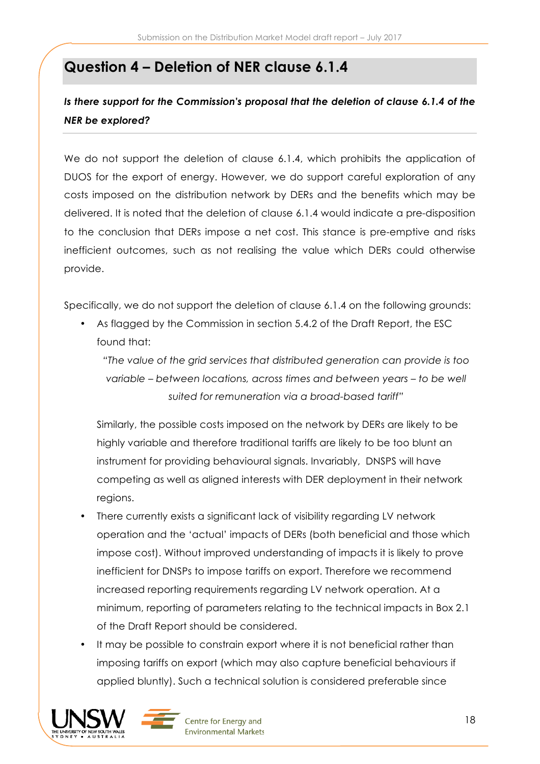### **Question 4 – Deletion of NER clause 6.1.4**

### *Is there support for the Commission's proposal that the deletion of clause 6.1.4 of the NER be explored?*

We do not support the deletion of clause 6.1.4, which prohibits the application of DUOS for the export of energy. However, we do support careful exploration of any costs imposed on the distribution network by DERs and the benefits which may be delivered. It is noted that the deletion of clause 6.1.4 would indicate a pre-disposition to the conclusion that DERs impose a net cost. This stance is pre-emptive and risks inefficient outcomes, such as not realising the value which DERs could otherwise provide.

Specifically, we do not support the deletion of clause 6.1.4 on the following grounds:

• As flagged by the Commission in section 5.4.2 of the Draft Report, the ESC found that:

*"The value of the grid services that distributed generation can provide is too variable – between locations, across times and between years – to be well suited for remuneration via a broad-based tariff"*

Similarly, the possible costs imposed on the network by DERs are likely to be highly variable and therefore traditional tariffs are likely to be too blunt an instrument for providing behavioural signals. Invariably, DNSPS will have competing as well as aligned interests with DER deployment in their network regions.

- There currently exists a significant lack of visibility regarding LV network operation and the 'actual' impacts of DERs (both beneficial and those which impose cost). Without improved understanding of impacts it is likely to prove inefficient for DNSPs to impose tariffs on export. Therefore we recommend increased reporting requirements regarding LV network operation. At a minimum, reporting of parameters relating to the technical impacts in Box 2.1 of the Draft Report should be considered.
- It may be possible to constrain export where it is not beneficial rather than imposing tariffs on export (which may also capture beneficial behaviours if applied bluntly). Such a technical solution is considered preferable since



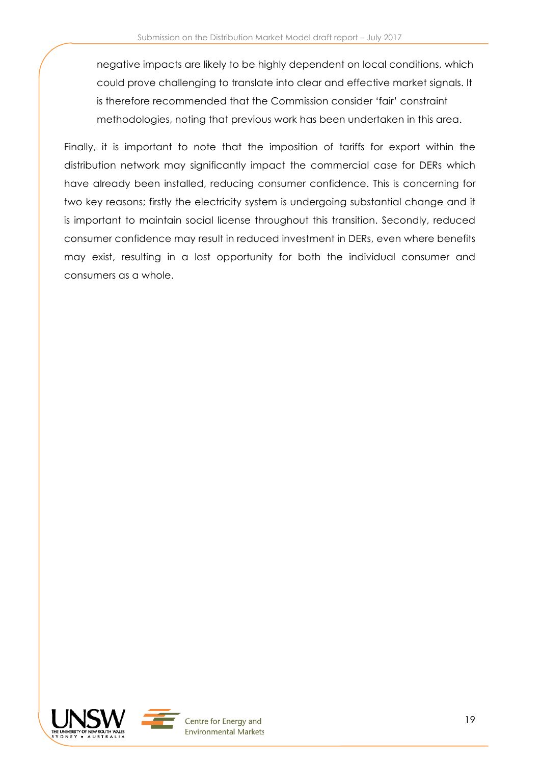negative impacts are likely to be highly dependent on local conditions, which could prove challenging to translate into clear and effective market signals. It is therefore recommended that the Commission consider 'fair' constraint methodologies, noting that previous work has been undertaken in this area.

Finally, it is important to note that the imposition of tariffs for export within the distribution network may significantly impact the commercial case for DERs which have already been installed, reducing consumer confidence. This is concerning for two key reasons; firstly the electricity system is undergoing substantial change and it is important to maintain social license throughout this transition. Secondly, reduced consumer confidence may result in reduced investment in DERs, even where benefits may exist, resulting in a lost opportunity for both the individual consumer and consumers as a whole.



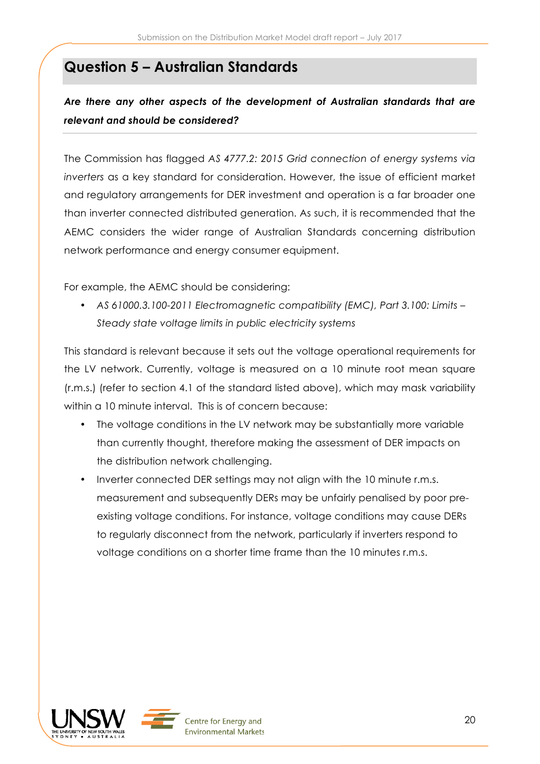# **Question 5 – Australian Standards**

*Are there any other aspects of the development of Australian standards that are relevant and should be considered?*

The Commission has flagged *AS 4777.2: 2015 Grid connection of energy systems via inverters* as a key standard for consideration. However, the issue of efficient market and regulatory arrangements for DER investment and operation is a far broader one than inverter connected distributed generation. As such, it is recommended that the AEMC considers the wider range of Australian Standards concerning distribution network performance and energy consumer equipment.

For example, the AEMC should be considering:

• *AS 61000.3.100-2011 Electromagnetic compatibility (EMC), Part 3.100: Limits – Steady state voltage limits in public electricity systems*

This standard is relevant because it sets out the voltage operational requirements for the LV network. Currently, voltage is measured on a 10 minute root mean square (r.m.s.) (refer to section 4.1 of the standard listed above), which may mask variability within a 10 minute interval. This is of concern because:

- The voltage conditions in the LV network may be substantially more variable than currently thought, therefore making the assessment of DER impacts on the distribution network challenging.
- Inverter connected DER settings may not align with the 10 minute r.m.s. measurement and subsequently DERs may be unfairly penalised by poor preexisting voltage conditions. For instance, voltage conditions may cause DERs to regularly disconnect from the network, particularly if inverters respond to voltage conditions on a shorter time frame than the 10 minutes r.m.s.